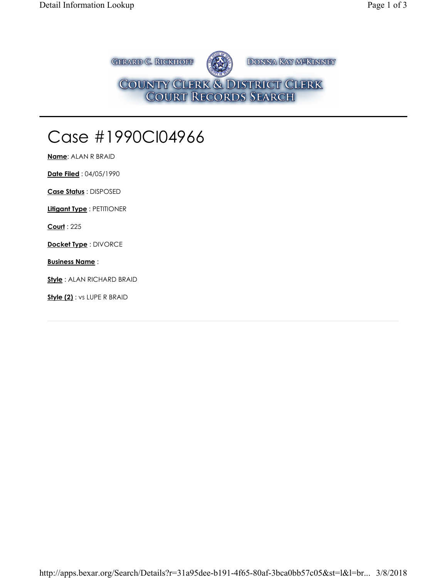**GERARD C. RICKHOFF** DONNA KAY M<sup>SKINNEY</sup> COUNTY CLERK & DISTRICT CLERK<br>COURT RECORDS SEARCH

## Case #1990CI04966

**Name**: ALAN R BRAID

**Date Filed** : 04/05/1990

**Case Status** : DISPOSED

**Litigant Type** : PETITIONER

**Court** : 225

**Docket Type** : DIVORCE

**Business Name** :

**Style** : ALAN RICHARD BRAID

**Style (2)** : vs LUPE R BRAID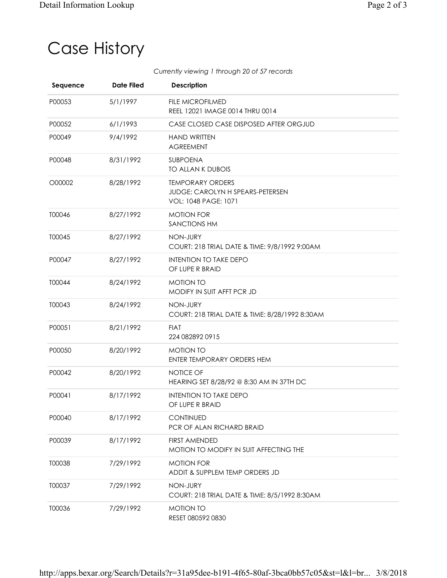## Case History

*Currently viewing 1 through 20 of 57 records*

| Sequence | <b>Date Filed</b> | <b>Description</b>                                                                         |
|----------|-------------------|--------------------------------------------------------------------------------------------|
| P00053   | 5/1/1997          | <b>FILE MICROFILMED</b><br>REEL 12021 IMAGE 0014 THRU 0014                                 |
| P00052   | 6/1/1993          | CASE CLOSED CASE DISPOSED AFTER ORGJUD                                                     |
| P00049   | 9/4/1992          | <b>HAND WRITTEN</b><br><b>AGREEMENT</b>                                                    |
| P00048   | 8/31/1992         | SUBPOENA<br>TO ALLAN K DUBOIS                                                              |
| O00002   | 8/28/1992         | <b>TEMPORARY ORDERS</b><br>JUDGE: CAROLYN H SPEARS-PETERSEN<br><b>VOL: 1048 PAGE: 1071</b> |
| T00046   | 8/27/1992         | <b>MOTION FOR</b><br><b>SANCTIONS HM</b>                                                   |
| T00045   | 8/27/1992         | NON-JURY<br>COURT: 218 TRIAL DATE & TIME: 9/8/1992 9:00AM                                  |
| P00047   | 8/27/1992         | <b>INTENTION TO TAKE DEPO</b><br>OF LUPE R BRAID                                           |
| T00044   | 8/24/1992         | <b>MOTION TO</b><br>MODIFY IN SUIT AFFT PCR JD                                             |
| T00043   | 8/24/1992         | NON-JURY<br>COURT: 218 TRIAL DATE & TIME: 8/28/1992 8:30AM                                 |
| P00051   | 8/21/1992         | <b>FIAT</b><br>224 082892 0915                                                             |
| P00050   | 8/20/1992         | <b>MOTION TO</b><br>ENTER TEMPORARY ORDERS HEM                                             |
| P00042   | 8/20/1992         | <b>NOTICE OF</b><br>HEARING SET 8/28/92 @ 8:30 AM IN 37TH DC                               |
| P00041   | 8/17/1992         | <b>INTENTION TO TAKE DEPO</b><br>OF LUPE R BRAID                                           |
| P00040   | 8/17/1992         | <b>CONTINUED</b><br>PCR OF ALAN RICHARD BRAID                                              |
| P00039   | 8/17/1992         | <b>FIRST AMENDED</b><br>MOTION TO MODIFY IN SUIT AFFECTING THE                             |
| T00038   | 7/29/1992         | <b>MOTION FOR</b><br>ADDIT & SUPPLEM TEMP ORDERS JD                                        |
| T00037   | 7/29/1992         | NON-JURY<br>COURT: 218 TRIAL DATE & TIME: 8/5/1992 8:30AM                                  |
| T00036   | 7/29/1992         | <b>MOTION TO</b><br>RESET 080592 0830                                                      |